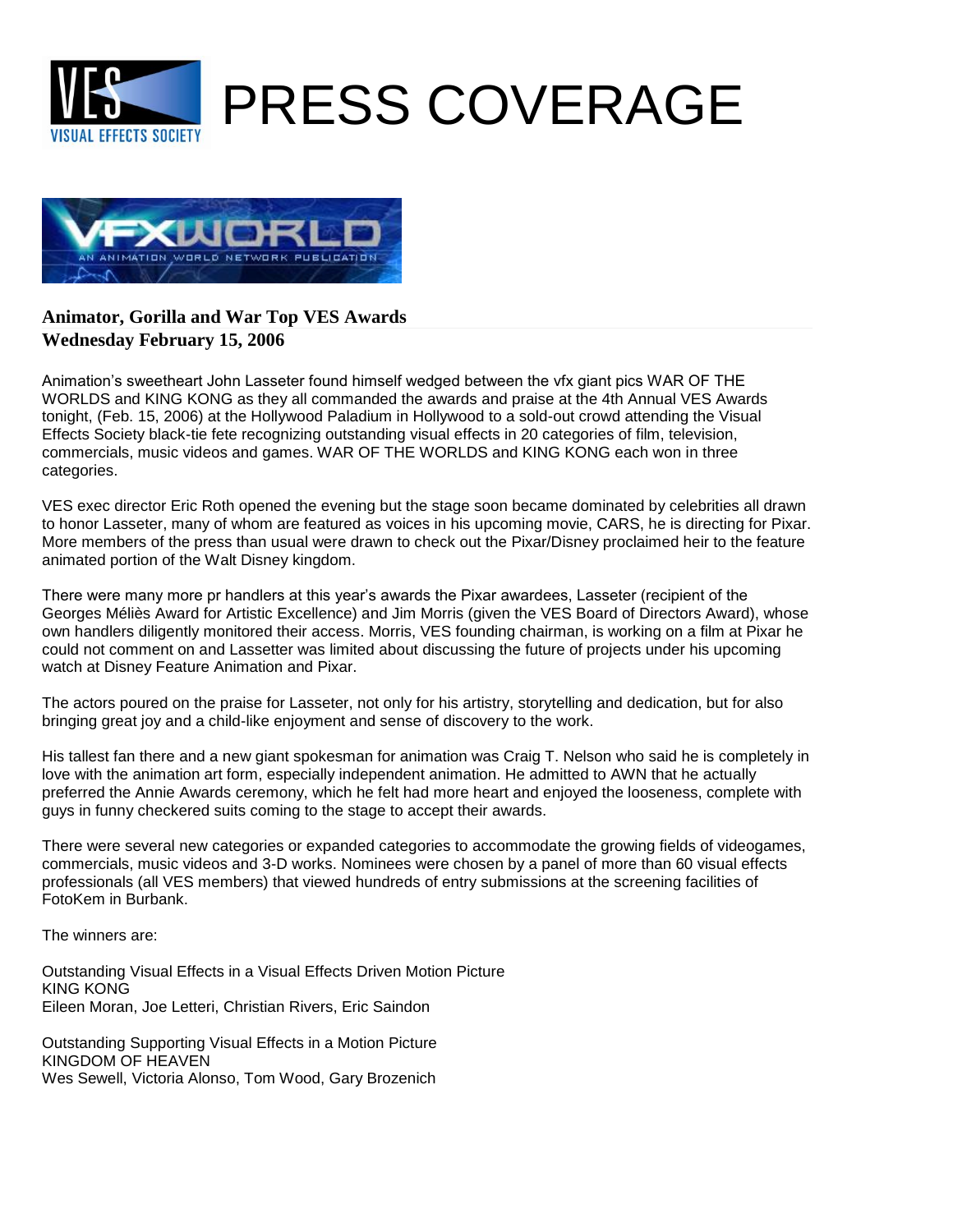



## **Wednesday February 15, 2006 Animator, Gorilla and War Top VES Awards**

Animation's sweetheart John Lasseter found himself wedged between the vfx giant pics WAR OF THE WORLDS and KING KONG as they all commanded the awards and praise at the 4th Annual VES Awards tonight, (Feb. 15, 2006) at the Hollywood Paladium in Hollywood to a sold-out crowd attending the Visual Effects Society black-tie fete recognizing outstanding visual effects in 20 categories of film, television, commercials, music videos and games. WAR OF THE WORLDS and KING KONG each won in three categories.

VES exec director Eric Roth opened the evening but the stage soon became dominated by celebrities all drawn to honor Lasseter, many of whom are featured as voices in his upcoming movie, CARS, he is directing for Pixar. More members of the press than usual were drawn to check out the Pixar/Disney proclaimed heir to the feature animated portion of the Walt Disney kingdom.

There were many more pr handlers at this year's awards the Pixar awardees, Lasseter (recipient of the Georges Méliès Award for Artistic Excellence) and Jim Morris (given the VES Board of Directors Award), whose own handlers diligently monitored their access. Morris, VES founding chairman, is working on a film at Pixar he could not comment on and Lassetter was limited about discussing the future of projects under his upcoming watch at Disney Feature Animation and Pixar.

The actors poured on the praise for Lasseter, not only for his artistry, storytelling and dedication, but for also bringing great joy and a child-like enjoyment and sense of discovery to the work.

His tallest fan there and a new giant spokesman for animation was Craig T. Nelson who said he is completely in love with the animation art form, especially independent animation. He admitted to AWN that he actually preferred the Annie Awards ceremony, which he felt had more heart and enjoyed the looseness, complete with guys in funny checkered suits coming to the stage to accept their awards.

There were several new categories or expanded categories to accommodate the growing fields of videogames, commercials, music videos and 3-D works. Nominees were chosen by a panel of more than 60 visual effects professionals (all VES members) that viewed hundreds of entry submissions at the screening facilities of FotoKem in Burbank.

The winners are:

Outstanding Visual Effects in a Visual Effects Driven Motion Picture KING KONG Eileen Moran, Joe Letteri, Christian Rivers, Eric Saindon

Outstanding Supporting Visual Effects in a Motion Picture KINGDOM OF HEAVEN Wes Sewell, Victoria Alonso, Tom Wood, Gary Brozenich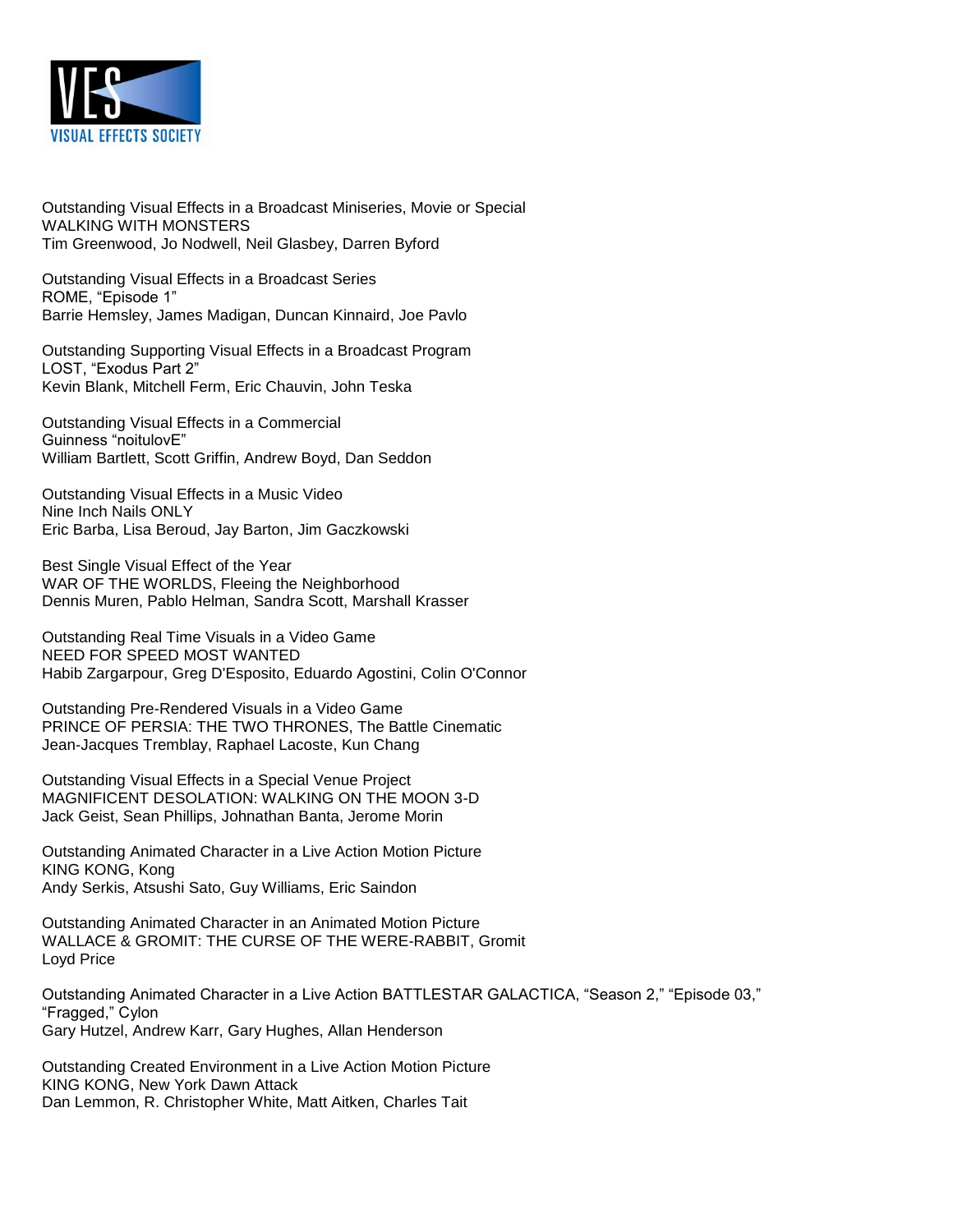

Outstanding Visual Effects in a Broadcast Miniseries, Movie or Special WALKING WITH MONSTERS Tim Greenwood, Jo Nodwell, Neil Glasbey, Darren Byford

Outstanding Visual Effects in a Broadcast Series ROME, "Episode 1" Barrie Hemsley, James Madigan, Duncan Kinnaird, Joe Pavlo

Outstanding Supporting Visual Effects in a Broadcast Program LOST, "Exodus Part 2" Kevin Blank, Mitchell Ferm, Eric Chauvin, John Teska

Outstanding Visual Effects in a Commercial Guinness "noitulovE" William Bartlett, Scott Griffin, Andrew Boyd, Dan Seddon

Outstanding Visual Effects in a Music Video Nine Inch Nails ONLY Eric Barba, Lisa Beroud, Jay Barton, Jim Gaczkowski

Best Single Visual Effect of the Year WAR OF THE WORLDS, Fleeing the Neighborhood Dennis Muren, Pablo Helman, Sandra Scott, Marshall Krasser

Outstanding Real Time Visuals in a Video Game NEED FOR SPEED MOST WANTED Habib Zargarpour, Greg D'Esposito, Eduardo Agostini, Colin O'Connor

Outstanding Pre-Rendered Visuals in a Video Game PRINCE OF PERSIA: THE TWO THRONES, The Battle Cinematic Jean-Jacques Tremblay, Raphael Lacoste, Kun Chang

Outstanding Visual Effects in a Special Venue Project MAGNIFICENT DESOLATION: WALKING ON THE MOON 3-D Jack Geist, Sean Phillips, Johnathan Banta, Jerome Morin

Outstanding Animated Character in a Live Action Motion Picture KING KONG, Kong Andy Serkis, Atsushi Sato, Guy Williams, Eric Saindon

Outstanding Animated Character in an Animated Motion Picture WALLACE & GROMIT: THE CURSE OF THE WERE-RABBIT, Gromit Loyd Price

Outstanding Animated Character in a Live Action BATTLESTAR GALACTICA, "Season 2," "Episode 03," "Fragged," Cylon Gary Hutzel, Andrew Karr, Gary Hughes, Allan Henderson

Outstanding Created Environment in a Live Action Motion Picture KING KONG, New York Dawn Attack Dan Lemmon, R. Christopher White, Matt Aitken, Charles Tait